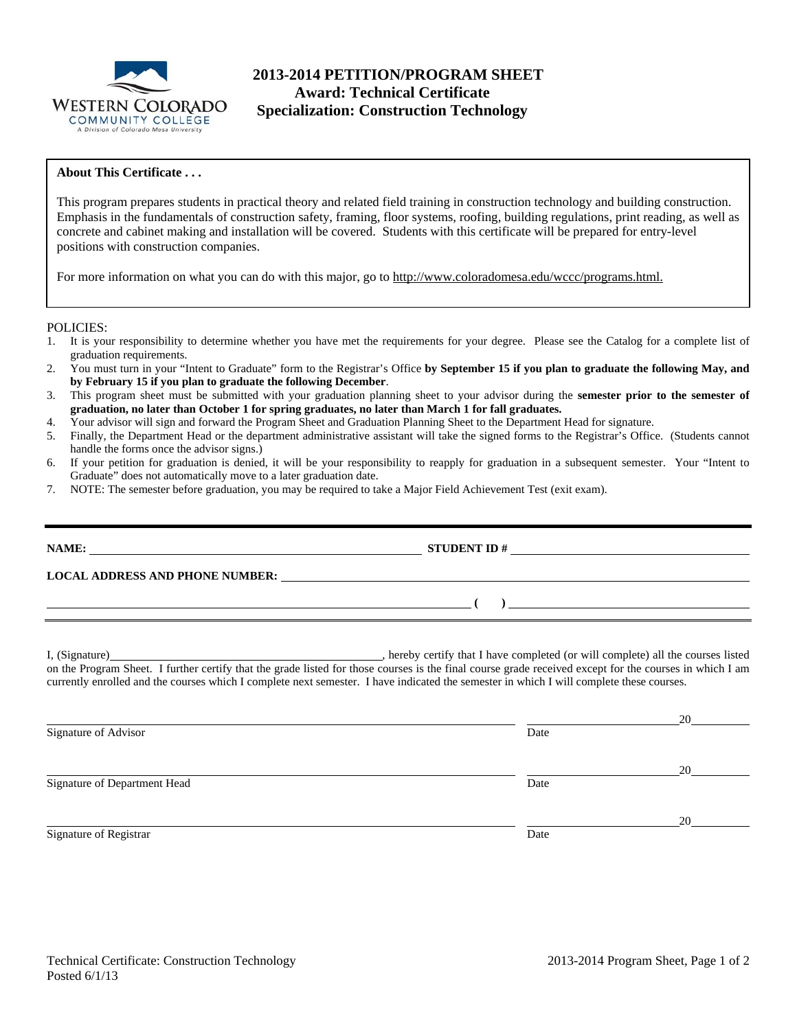

## **2013-2014 PETITION/PROGRAM SHEET Award: Technical Certificate Specialization: Construction Technology**

## **About This Certificate . . .**

This program prepares students in practical theory and related field training in construction technology and building construction. Emphasis in the fundamentals of construction safety, framing, floor systems, roofing, building regulations, print reading, as well as concrete and cabinet making and installation will be covered. Students with this certificate will be prepared for entry-level positions with construction companies.

For more information on what you can do with this major, go to http://www.coloradomesa.edu/wccc/programs.html.

POLICIES:

- 1. It is your responsibility to determine whether you have met the requirements for your degree. Please see the Catalog for a complete list of graduation requirements.
- 2. You must turn in your "Intent to Graduate" form to the Registrar's Office **by September 15 if you plan to graduate the following May, and by February 15 if you plan to graduate the following December**.
- 3. This program sheet must be submitted with your graduation planning sheet to your advisor during the **semester prior to the semester of graduation, no later than October 1 for spring graduates, no later than March 1 for fall graduates.**
- 4. Your advisor will sign and forward the Program Sheet and Graduation Planning Sheet to the Department Head for signature.
- 5. Finally, the Department Head or the department administrative assistant will take the signed forms to the Registrar's Office. (Students cannot handle the forms once the advisor signs.)
- 6. If your petition for graduation is denied, it will be your responsibility to reapply for graduation in a subsequent semester. Your "Intent to Graduate" does not automatically move to a later graduation date.
- 7. NOTE: The semester before graduation, you may be required to take a Major Field Achievement Test (exit exam).

| NAME:<br><u>a sa barang sa mga barang sa mga barang sa mga barang sa mga barang sa mga barang sa mga barang sa mga barang sa </u> | <b>STUDENT ID#</b><br><u> 1980 - Jan Stein Bernstein, mars and der Stein Bernstein und der Stein Bernstein und der Stein Bernstein und</u> |  |
|-----------------------------------------------------------------------------------------------------------------------------------|--------------------------------------------------------------------------------------------------------------------------------------------|--|
| <b>LOCAL ADDRESS AND PHONE NUMBER:</b>                                                                                            |                                                                                                                                            |  |
|                                                                                                                                   |                                                                                                                                            |  |
|                                                                                                                                   |                                                                                                                                            |  |

I, (Signature) , hereby certify that I have completed (or will complete) all the courses listed on the Program Sheet. I further certify that the grade listed for those courses is the final course grade received except for the courses in which I am currently enrolled and the courses which I complete next semester. I have indicated the semester in which I will complete these courses.

|                              |      | 20 |
|------------------------------|------|----|
| Signature of Advisor         | Date |    |
|                              |      |    |
|                              |      | 20 |
| Signature of Department Head | Date |    |
|                              |      |    |
|                              |      | 20 |
| Signature of Registrar       | Date |    |